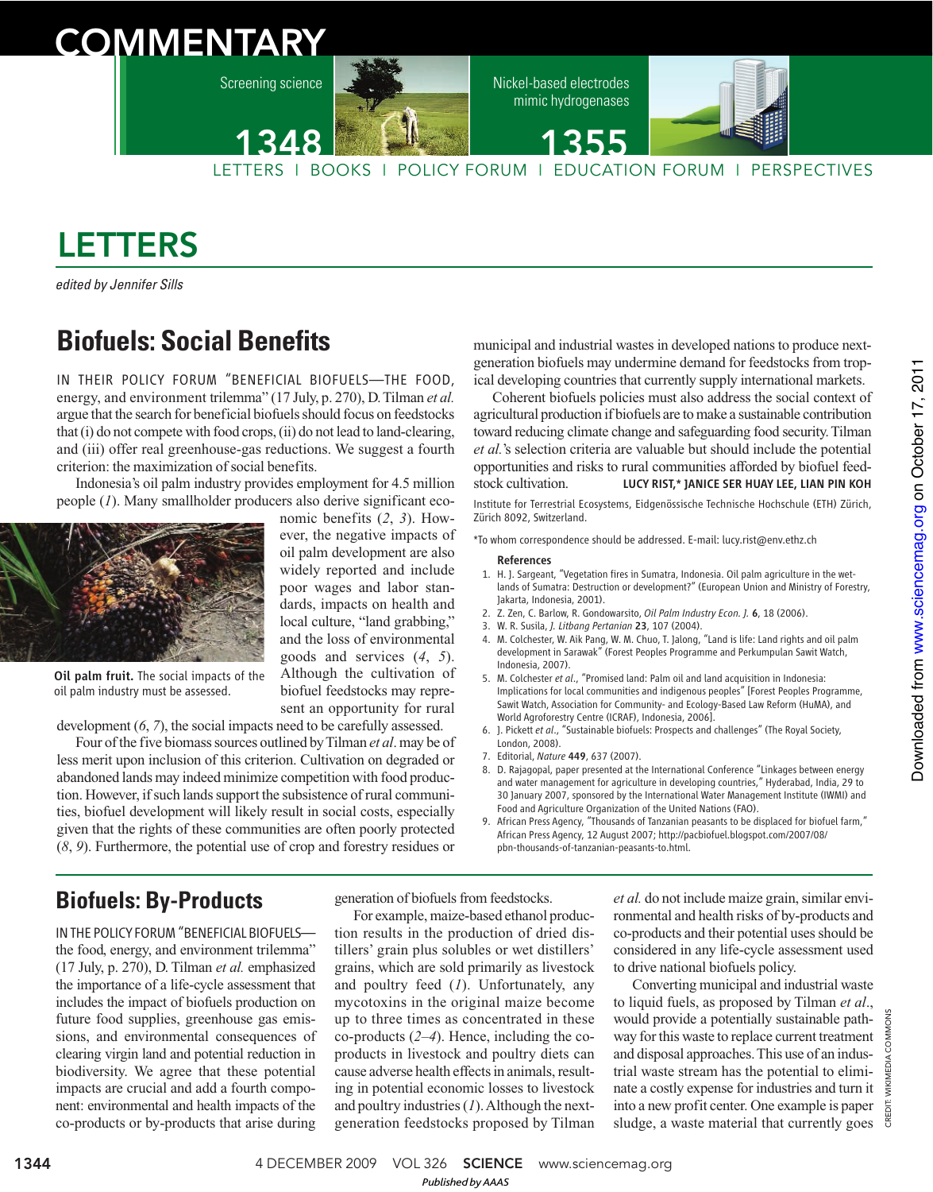# **COMMENTARY**

Screening science



nomic benefits (*2*, *3*). However, the negative impacts of oil palm development are also widely reported and include poor wages and labor standards, impacts on health and local culture, "land grabbing," and the loss of environmental goods and services (*4*, *5*). Although the cultivation of biofuel feedstocks may represent an opportunity for rural Nickel-based electrodes mimic hydrogenases

1355



LETTERS I BOOKS I POLICY FORUM I EDUCATION FORUM I PERSPECTIVES

# LETTERS

edited by Jennifer Sills

# **Biofuels: Social Benefits**

IN THEIR POLICY FORUM "BENEFICIAL BIOFUELS—THE FOOD, energy, and environment trilemma" (17 July, p. 270), D. Tilman *et al.* argue that the search for beneficial biofuels should focus on feedstocks that (i) do not compete with food crops, (ii) do not lead to land-clearing, and (iii) offer real greenhouse-gas reductions. We suggest a fourth criterion: the maximization of social benefits.

Indonesia's oil palm industry provides employment for 4.5 million people (*1*). Many smallholder producers also derive significant eco-



Oil palm fruit. The social impacts of the oil palm industry must be assessed.

development (*6*, *7*), the social impacts need to be carefully assessed.

Four of the five biomass sources outlined by Tilman *et al*. may be of less merit upon inclusion of this criterion. Cultivation on degraded or abandoned lands may indeed minimize competition with food production. However, if such lands support the subsistence of rural communities, biofuel development will likely result in social costs, especially given that the rights of these communities are often poorly protected (*8*, *9*). Furthermore, the potential use of crop and forestry residues or

municipal and industrial wastes in developed nations to produce nextgeneration biofuels may undermine demand for feedstocks from tropical developing countries that currently supply international markets.

Coherent biofuels policies must also address the social context of agricultural production if biofuels are to make a sustainable contribution toward reducing climate change and safeguarding food security. Tilman *et al.*'s selection criteria are valuable but should include the potential opportunities and risks to rural communities afforded by biofuel feedstock cultivation. LUCY RIST,\* JANICE SER HUAY LEE, LIAN PIN KOH Institute for Terrestrial Ecosystems, Eidgenössische Technische Hochschule (ETH) Zürich, Zürich 8092, Switzerland.

\*To whom correspondence should be addressed. E-mail: lucy.rist@env.ethz.ch

### References

- 1. H. J. Sargeant, "Vegetation fires in Sumatra, Indonesia. Oil palm agriculture in the wetlands of Sumatra: Destruction or development?" (European Union and Ministry of Forestry, Jakarta, Indonesia, 2001).
- 2. Z. Zen, C. Barlow, R. Gondowarsito, *Oil Palm Industry Econ. J.* 6, 18 (2006).
- 3. W. R. Susila, *J. Litbang Pertanian* 23, 107 (2004).
- 4. M. Colchester, W. Aik Pang, W. M. Chuo, T. Jalong, "Land is life: Land rights and oil palm development in Sarawak" (Forest Peoples Programme and Perkumpulan Sawit Watch, Indonesia, 2007).
- 5. M. Colchester *et al*., "Promised land: Palm oil and land acquisition in Indonesia: Implications for local communities and indigenous peoples" [Forest Peoples Programme, Sawit Watch, Association for Community- and Ecology-Based Law Reform (HuMA), and World Agroforestry Centre (ICRAF), Indonesia, 2006].
- 6. J. Pickett *et al*., "Sustainable biofuels: Prospects and challenges" (The Royal Society, London, 2008).
- 7. Editorial, *Nature* 449, 637 (2007).
- 8. D. Rajagopal, paper presented at the International Conference "Linkages between energy and water management for agriculture in developing countries," Hyderabad, India, 29 to 30 January 2007, sponsored by the International Water Management Institute (IWMI) and Food and Agriculture Organization of the United Nations (FAO).
- 9. African Press Agency, "Thousands of Tanzanian peasants to be displaced for biofuel farm," African Press Agency, 12 August 2007; http://pacbiofuel.blogspot.com/2007/08/ pbn-thousands-of-tanzanian-peasants-to.html.

### **Biofuels: By-Products**

IN THE POLICY FORUM "BENEFICIAL BIOFUELSthe food, energy, and environment trilemma" (17 July, p. 270), D. Tilman *et al.* emphasized the importance of a life-cycle assessment that includes the impact of biofuels production on future food supplies, greenhouse gas emissions, and environmental consequences of clearing virgin land and potential reduction in biodiversity. We agree that these potential impacts are crucial and add a fourth component: environmental and health impacts of the co-products or by-products that arise during generation of biofuels from feedstocks.

For example, maize-based ethanol production results in the production of dried distillers' grain plus solubles or wet distillers' grains, which are sold primarily as livestock and poultry feed (*1*). Unfortunately, any mycotoxins in the original maize become up to three times as concentrated in these co-products (*2–4*). Hence, including the coproducts in livestock and poultry diets can cause adverse health effects in animals, resulting in potential economic losses to livestock and poultry industries (*1*). Although the nextgeneration feedstocks proposed by Tilman

*et al.* do not include maize grain, similar environmental and health risks of by-products and co-products and their potential uses should be considered in any life-cycle assessment used to drive national biofuels policy.

Converting municipal and industrial waste to liquid fuels, as proposed by Tilman *et al*., would provide a potentially sustainable pathway for this waste to replace current treatment and disposal approaches. This use of an industrial waste stream has the potential to eliminate a costly expense for industries and turn it into a new profit center. One example is paper sludge, a waste material that currently goes

CREDIT: WIKIMEDIA COMMONS

1344 **1844** 4 DECEMBER 2009 VOL 326 **SCIENCE** www.sciencemag.org

*Published byAAAS*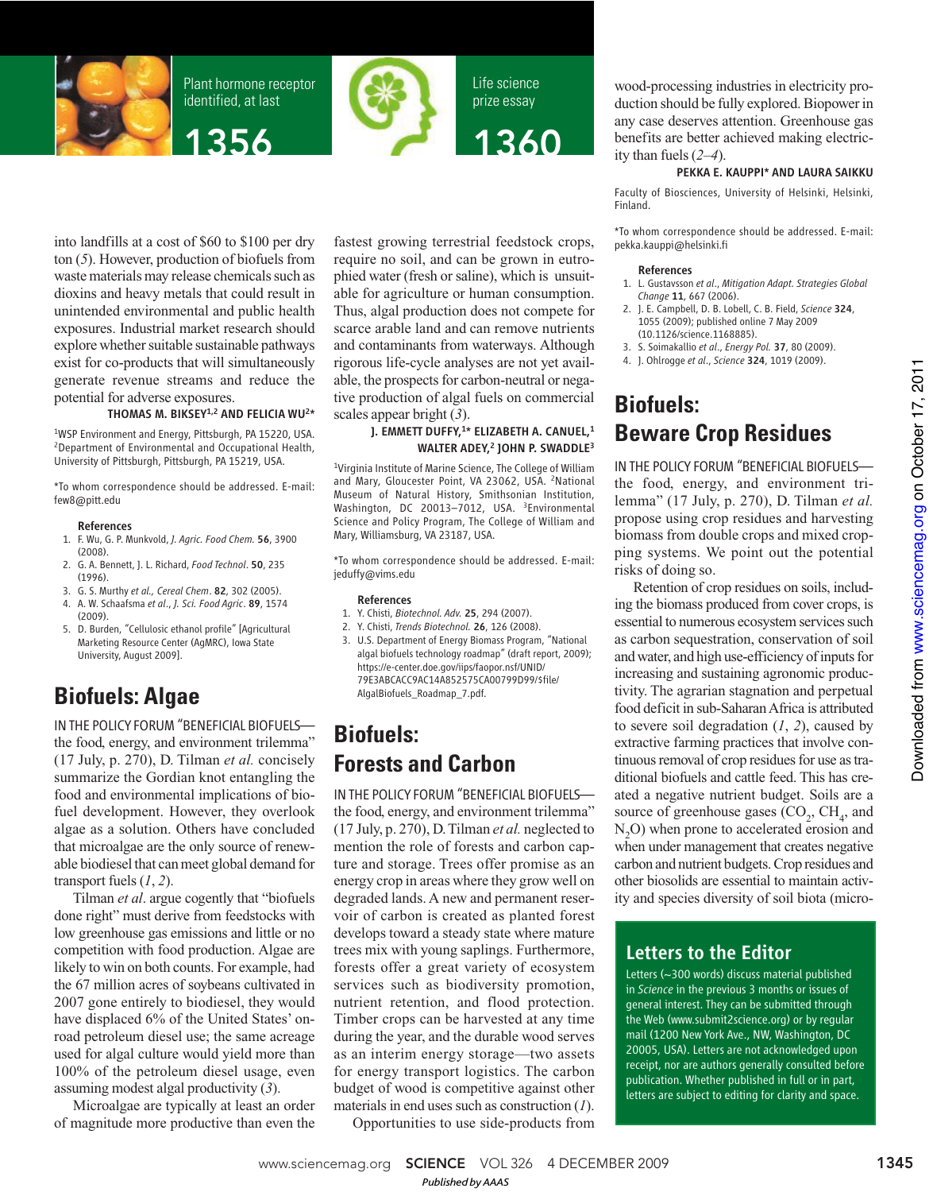

Plant hormone receptor identified, at last





Life science prize essay 1360

into landfills at a cost of \$60 to \$100 per dry ton (*5*). However, production of biofuels from waste materials may release chemicals such as dioxins and heavy metals that could result in unintended environmental and public health exposures. Industrial market research should explore whether suitable sustainable pathways exist for co-products that will simultaneously generate revenue streams and reduce the potential for adverse exposures.

### THOMAS M. BIKSEY<sup>1,2</sup> AND FELICIA WU<sup>2\*</sup>

1WSP Environment and Energy, Pittsburgh, PA 15220, USA. 2Department of Environmental and Occupational Health, University of Pittsburgh, Pittsburgh, PA 15219, USA.

\*To whom correspondence should be addressed. E-mail: few8@pitt.edu

#### References

- 1. F. Wu, G. P. Munkvold, *J. Agric. Food Chem.* 56, 3900 (2008).
- 2. G. A. Bennett, J. L. Richard, *Food Technol*. 50, 235 (1996).
- 3. G. S. Murthy *et al., Cereal Chem*. 82, 302 (2005).
- 4. A. W. Schaafsma *et al*., *J. Sci. Food Agric*. 89, 1574 (2009).
- 5. D. Burden, "Cellulosic ethanol profile" [Agricultural Marketing Resource Center (AgMRC), Iowa State University, August 2009].

## **Biofuels: Algae**

IN THE POLICY FORUM "BENEFICIAL BIOFUELSthe food, energy, and environment trilemma" (17 July, p. 270), D. Tilman *et al.* concisely summarize the Gordian knot entangling the food and environmental implications of biofuel development. However, they overlook algae as a solution. Others have concluded that microalgae are the only source of renewable biodiesel that can meet global demand for transport fuels (*1*, *2*).

Tilman *et al*. argue cogently that "biofuels done right" must derive from feedstocks with low greenhouse gas emissions and little or no competition with food production. Algae are likely to win on both counts. For example, had the 67 million acres of soybeans cultivated in 2007 gone entirely to biodiesel, they would have displaced 6% of the United States' onroad petroleum diesel use; the same acreage used for algal culture would yield more than 100% of the petroleum diesel usage, even assuming modest algal productivity (*3*).

Microalgae are typically at least an order of magnitude more productive than even the

fastest growing terrestrial feedstock crops, require no soil, and can be grown in eutrophied water (fresh or saline), which is unsuitable for agriculture or human consumption. Thus, algal production does not compete for scarce arable land and can remove nutrients and contaminants from waterways. Although rigorous life-cycle analyses are not yet available, the prospects for carbon-neutral or negative production of algal fuels on commercial scales appear bright (*3*).

### J. EMMETT DUFFY,1\* ELIZABETH A. CANUEL,1 WALTER ADEY,<sup>2</sup> JOHN P. SWADDLE<sup>3</sup>

<sup>1</sup>Virginia Institute of Marine Science, The College of William and Mary, Gloucester Point, VA 23062, USA. 2National Museum of Natural History, Smithsonian Institution, Washington, DC 20013-7012, USA. <sup>3</sup>Environmental Science and Policy Program, The College of William and Mary, Williamsburg, VA 23187, USA.

\*To whom correspondence should be addressed. E-mail: jeduffy@vims.edu

#### References

- 1. Y. Chisti, *Biotechnol. Adv.* 25, 294 (2007).
- 2. Y. Chisti, *Trends Biotechnol.* 26, 126 (2008).
- 3. U.S. Department of Energy Biomass Program, "National algal biofuels technology roadmap" (draft report, 2009); https://e-center.doe.gov/iips/faopor.nsf/UNID/ 79E3ABCACC9AC14A852575CA00799D99/\$file/ AlgalBiofuels\_Roadmap\_7.pdf.

### **Biofuels: Forests and Carbon**

IN THE POLICYFORUM "BENEFICIAL BIOFUELS the food, energy, and environment trilemma" (17 July, p. 270), D. Tilman *et al.* neglected to mention the role of forests and carbon capture and storage. Trees offer promise as an energy crop in areas where they grow well on degraded lands. A new and permanent reservoir of carbon is created as planted forest develops toward a steady state where mature trees mix with young saplings. Furthermore, forests offer a great variety of ecosystem services such as biodiversity promotion, nutrient retention, and flood protection. Timber crops can be harvested at any time during the year, and the durable wood serves as an interim energy storage—two assets for energy transport logistics. The carbon budget of wood is competitive against other materials in end uses such as construction (*1*).

Opportunities to use side-products from

wood-processing industries in electricity production should be fully explored. Biopower in any case deserves attention. Greenhouse gas benefits are better achieved making electricity than fuels (*2*–*4*).

### PEKKA E. KAUPPI\* AND LAURA SAIKKU

Faculty of Biosciences, University of Helsinki, Helsinki, Finland.

\*To whom correspondence should be addressed. E-mail: pekka.kauppi@helsinki.fi

### References

- 1. L. Gustavsson *et al*., *Mitigation Adapt. Strategies Global Change* 11, 667 (2006).
- 2. J. E. Campbell, D. B. Lobell, C. B. Field, *Science* 324, 1055 (2009); published online 7 May 2009 (10.1126/science.1168885).
- 3. S. Soimakallio *et al*., *Energy Pol.* 37, 80 (2009).
- 4. J. Ohlrogge *et al*., *Science* 324, 1019 (2009).

# **Biofuels: Beware Crop Residues**

IN THE POLICY FORUM "BENEFICIAL BIOFUELS the food, energy, and environment trilemma" (17 July, p. 270), D. Tilman *et al.* propose using crop residues and harvesting biomass from double crops and mixed cropping systems. We point out the potential risks of doing so.

Retention of crop residues on soils, including the biomass produced from cover crops, is essential to numerous ecosystem services such as carbon sequestration, conservation of soil and water, and high use-efficiency of inputs for increasing and sustaining agronomic productivity. The agrarian stagnation and perpetual food deficit in sub-Saharan Africa is attributed to severe soil degradation (*1*, *2*), caused by extractive farming practices that involve continuous removal of crop residues for use as traditional biofuels and cattle feed. This has created a negative nutrient budget. Soils are a source of greenhouse gases  $(CO<sub>2</sub>, CH<sub>4</sub>, and$  $N<sub>2</sub>O$ ) when prone to accelerated erosion and when under management that creates negative carbon and nutrient budgets. Crop residues and other biosolids are essential to maintain activity and species diversity of soil biota (micro-

### Letters to the Editor

Letters (~300 words) discuss material published in *Science* in the previous 3 months or issues of general interest. They can be submitted through the Web (www.submit2science.org) or by regular mail (1200 New York Ave., NW, Washington, DC 20005, USA). Letters are not acknowledged upon receipt, nor are authors generally consulted before publication. Whether published in full or in part, letters are subject to editing for clarity and space.

Downloaded from www.sciencemag.org on October 17, 2011 on October 17, 2011 [www.sciencemag.org](http://www.sciencemag.org/) Downloaded from